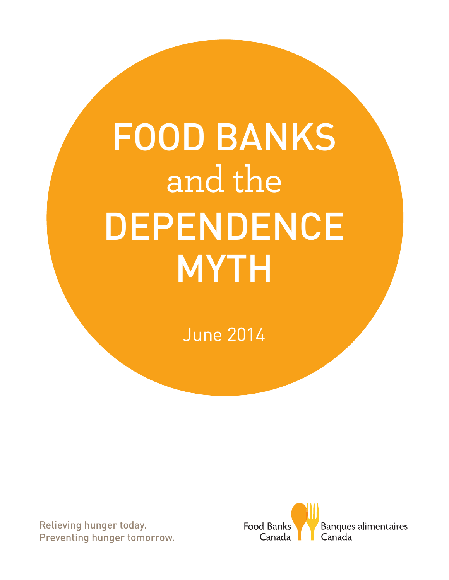# FOOD BANKS and the DEPENDENCE MYTH

June 2014

Relieving hunger today. Preventing hunger tomorrow.

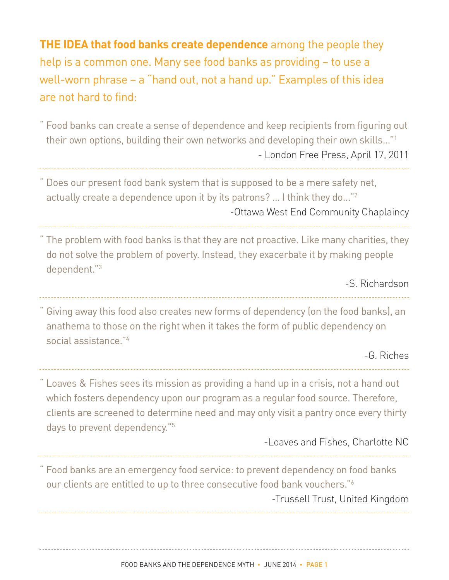**THE IDEA that food banks create dependence** among the people they help is a common one. Many see food banks as providing – to use a well-worn phrase – a "hand out, not a hand up." Examples of this idea are not hard to find:

" Food banks can create a sense of dependence and keep recipients from figuring out their own options, building their own networks and developing their own skills…"1 - London Free Press, April 17, 2011

Does our present food bank system that is supposed to be a mere safety net, actually create a dependence upon it by its patrons? … I think they do..."2 -Ottawa West End Community Chaplaincy

The problem with food banks is that they are not proactive. Like many charities, they do not solve the problem of poverty. Instead, they exacerbate it by making people dependent."3

-S. Richardson

" Giving away this food also creates new forms of dependency (on the food banks), an anathema to those on the right when it takes the form of public dependency on social assistance."4

-G. Riches

" Loaves & Fishes sees its mission as providing a hand up in a crisis, not a hand out which fosters dependency upon our program as a regular food source. Therefore, clients are screened to determine need and may only visit a pantry once every thirty days to prevent dependency."5

-Loaves and Fishes, Charlotte NC

" Food banks are an emergency food service: to prevent dependency on food banks our clients are entitled to up to three consecutive food bank vouchers."6 -Trussell Trust, United Kingdom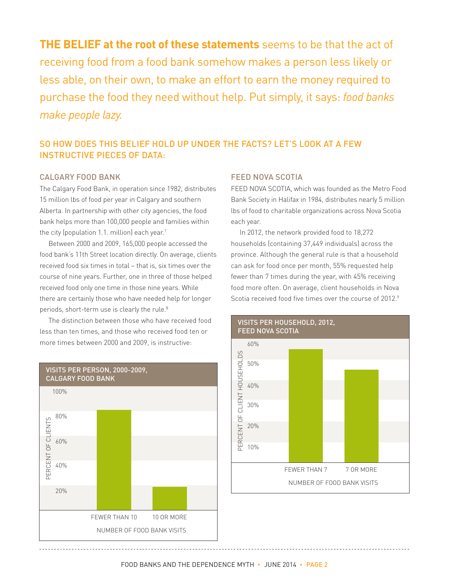**THE BELIEF at the root of these statements** seems to be that the act of receiving food from a food bank somehow makes a person less likely or less able, on their own, to make an effort to earn the money required to purchase the food they need without help. Put simply, it says: *food banks make people lazy.*

### SO HOW DOES THIS BELIEF HOLD UP UNDER THE FACTS? LET'S LOOK AT A FEW INSTRUCTIVE PIECES OF DATA:

### CALGARY FOOD BANK

The Calgary Food Bank, in operation since 1982, distributes 15 million lbs of food per year in Calgary and southern Alberta. In partnership with other city agencies, the food bank helps more than 100,000 people and families within the city (population 1.1. million) each year. $7$ 

Between 2000 and 2009, 165,000 people accessed the food bank's 11th Street location directly. On average, clients received food six times in total – that is, six times over the course of nine years. Further, one in three of those helped received food only one time in those nine years. While there are certainly those who have needed help for longer periods, short-term use is clearly the rule.<sup>8</sup>

The distinction between those who have received food less than ten times, and those who received food ten or more times between 2000 and 2009, is instructive:

### VISITS PER PERSON, 2000-2009, CALGARY FOOD BANK 100% 80% OF CLIENTS PERCENT OF CLIENTS 60% PERCENT 40% 20% FEWER THAN 10 10 OR MORE NUMBER OF FOOD BANK VISITS

### FEED NOVA SCOTIA

FEED NOVA SCOTIA, which was founded as the Metro Food Bank Society in Halifax in 1984, distributes nearly 5 million lbs of food to charitable organizations across Nova Scotia each year.

In 2012, the network provided food to 18,272 households (containing 37,449 individuals) across the province. Although the general rule is that a household can ask for food once per month, 55% requested help fewer than 7 times during the year, with 45% receiving food more often. On average, client households in Nova Scotia received food five times over the course of 2012.<sup>9</sup>

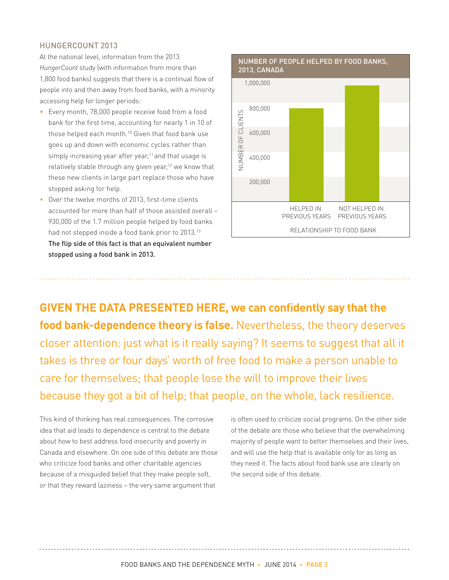#### HUNGERCOUNT 2013

At the national level, information from the 2013 *HungerCount* study (with information from more than 1,800 food banks) suggests that there is a continual flow of people into and then away from food banks, with a minority accessing help for longer periods:

- Every month, 78,000 people receive food from a food bank for the first time, accounting for nearly 1 in 10 of those helped each month.<sup>10</sup> Given that food bank use goes up and down with economic cycles rather than simply increasing year after year,<sup>11</sup> and that usage is relatively stable through any given year,<sup>12</sup> we know that these new clients in large part replace those who have stopped asking for help.
- Over the twelve months of 2013, first-time clients accounted for more than half of those assisted overall – 930,000 of the 1.7 million people helped by food banks had not stepped inside a food bank prior to 2013.<sup>13</sup> The flip side of this fact is that an equivalent number stopped using a food bank in 2013.



**GIVEN THE DATA PRESENTED HERE, we can confidently say that the food bank-dependence theory is false.** Nevertheless, the theory deserves closer attention: just what is it really saying? It seems to suggest that all it takes is three or four days' worth of free food to make a person unable to care for themselves; that people lose the will to improve their lives because they got a bit of help; that people, on the whole, lack resilience.

This kind of thinking has real consequences. The corrosive idea that aid leads to dependence is central to the debate about how to best address food insecurity and poverty in Canada and elsewhere. On one side of this debate are those who criticize food banks and other charitable agencies because of a misguided belief that they make people soft, or that they reward laziness – the very same argument that

is often used to criticize social programs. On the other side of the debate are those who believe that the overwhelming majority of people want to better themselves and their lives, and will use the help that is available only for as long as they need it. The facts about food bank use are clearly on the second side of this debate.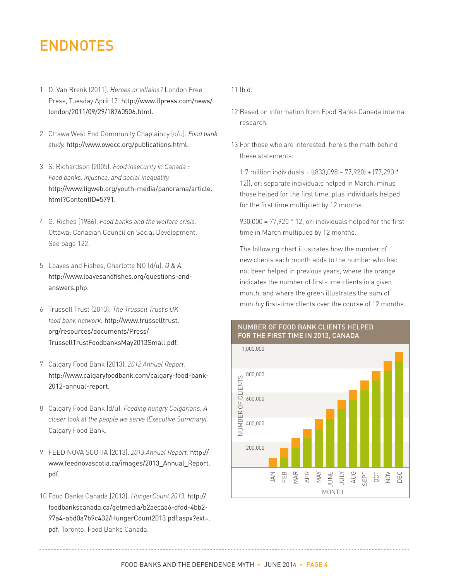### ENDNOTES

- 1 D. Van Brenk (2011). *Heroes or villains?* London Free Press, Tuesday April 17. http://www.lfpress.com/news/ london/2011/09/29/18760506.html.
- 2 Ottawa West End Community Chaplaincy (d/u). *Food bank study.* http://www.owecc.org/publications.html.
- 3 S. Richardson (2005). *Food insecurity in Canada : Food banks, injustice, and social inequality.* http://www.tigweb.org/youth-media/panorama/article. html?ContentID=5791.
- 4 G. Riches (1986). *Food banks and the welfare crisis.*  Ottawa: Canadian Council on Social Development. See page 122.
- 5 Loaves and Fishes, Charlotte NC (d/u). *Q & A.*  http://www.loavesandfishes.org/questions-andanswers.php.
- 6 Trussell Trust (2013). *The Trussell Trust's UK food bank network.* http://www.trusselltrust. org/resources/documents/Press/ TrussellTrustFoodbanksMay2013Small.pdf.
- 7 Calgary Food Bank (2013). *2012 Annual Report.* http://www.calgaryfoodbank.com/calgary-food-bank-2012-annual-report.
- 8 Calgary Food Bank (d/u). *Feeding hungry Calgarians: A closer look at the people we serve (Executive Summary).* Calgary Food Bank.
- 9 FEED NOVA SCOTIA (2013). *2013 Annual Report.* http:// www.feednovascotia.ca/images/2013\_Annual\_Report. pdf.
- 10 Food Banks Canada (2013). *HungerCount 2013.* http:// foodbankscanada.ca/getmedia/b2aecaa6-dfdd-4bb2- 97a4-abd0a7b9c432/HungerCount2013.pdf.aspx?ext=. pdf. Toronto: Food Banks Canada.

11 Ibid.

- 12 Based on information from Food Banks Canada internal research.
- 13 For those who are interested, here's the math behind these statements:

 1.7 million individuals = ((833,098 – 77,920) + (77,290 \* 12)), or: separate individuals helped in March, minus those helped for the first time, plus individuals helped for the first time multiplied by 12 months.

 930,000 = 77,920 \* 12, or: individuals helped for the first time in March multiplied by 12 months.

 The following chart illustrates how the number of new clients each month adds to the number who had not been helped in previous years; where the orange indicates the number of first-time clients in a given month, and where the green illustrates the sum of monthly first-time clients over the course of 12 months.



# NUMBER OF FOOD BANK CLIENTS HELPED